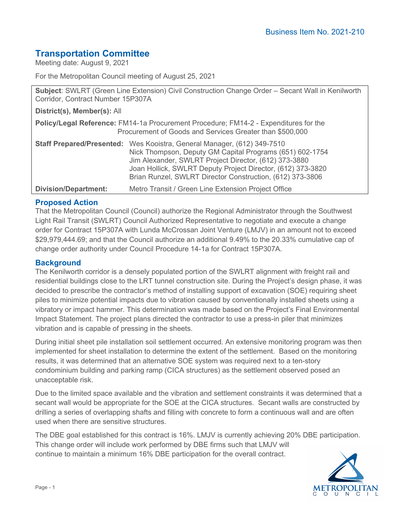# **Transportation Committee**

Meeting date: August 9, 2021

For the Metropolitan Council meeting of August 25, 2021

**Subject**: SWLRT (Green Line Extension) Civil Construction Change Order – Secant Wall in Kenilworth Corridor, Contract Number 15P307A

**District(s), Member(s):** All

**Policy/Legal Reference:** FM14-1a Procurement Procedure; FM14-2 - Expenditures for the Procurement of Goods and Services Greater than \$500,000

|                             | <b>Staff Prepared/Presented:</b> Wes Kooistra, General Manager, (612) 349-7510 |  |
|-----------------------------|--------------------------------------------------------------------------------|--|
|                             | Nick Thompson, Deputy GM Capital Programs (651) 602-1754                       |  |
|                             | Jim Alexander, SWLRT Project Director, (612) 373-3880                          |  |
|                             | Joan Hollick, SWLRT Deputy Project Director, (612) 373-3820                    |  |
|                             | Brian Runzel, SWLRT Director Construction, (612) 373-3806                      |  |
| <b>Division/Department:</b> | Metro Transit / Green Line Extension Project Office                            |  |

# **Proposed Action**

That the Metropolitan Council (Council) authorize the Regional Administrator through the Southwest Light Rail Transit (SWLRT) Council Authorized Representative to negotiate and execute a change order for Contract 15P307A with Lunda McCrossan Joint Venture (LMJV) in an amount not to exceed \$29,979,444.69; and that the Council authorize an additional 9.49% to the 20.33% cumulative cap of change order authority under Council Procedure 14-1a for Contract 15P307A.

#### **Background**

The Kenilworth corridor is a densely populated portion of the SWLRT alignment with freight rail and residential buildings close to the LRT tunnel construction site. During the Project's design phase, it was decided to prescribe the contractor's method of installing support of excavation (SOE) requiring sheet piles to minimize potential impacts due to vibration caused by conventionally installed sheets using a vibratory or impact hammer. This determination was made based on the Project's Final Environmental Impact Statement. The project plans directed the contractor to use a press-in piler that minimizes vibration and is capable of pressing in the sheets.

During initial sheet pile installation soil settlement occurred. An extensive monitoring program was then implemented for sheet installation to determine the extent of the settlement. Based on the monitoring results, it was determined that an alternative SOE system was required next to a ten-story condominium building and parking ramp (CICA structures) as the settlement observed posed an unacceptable risk.

Due to the limited space available and the vibration and settlement constraints it was determined that a secant wall would be appropriate for the SOE at the CICA structures. Secant walls are constructed by drilling a series of overlapping shafts and filling with concrete to form a continuous wall and are often used when there are sensitive structures.

The DBE goal established for this contract is 16%. LMJV is currently achieving 20% DBE participation. This change order will include work performed by DBE firms such that LMJV will continue to maintain a minimum 16% DBE participation for the overall contract.